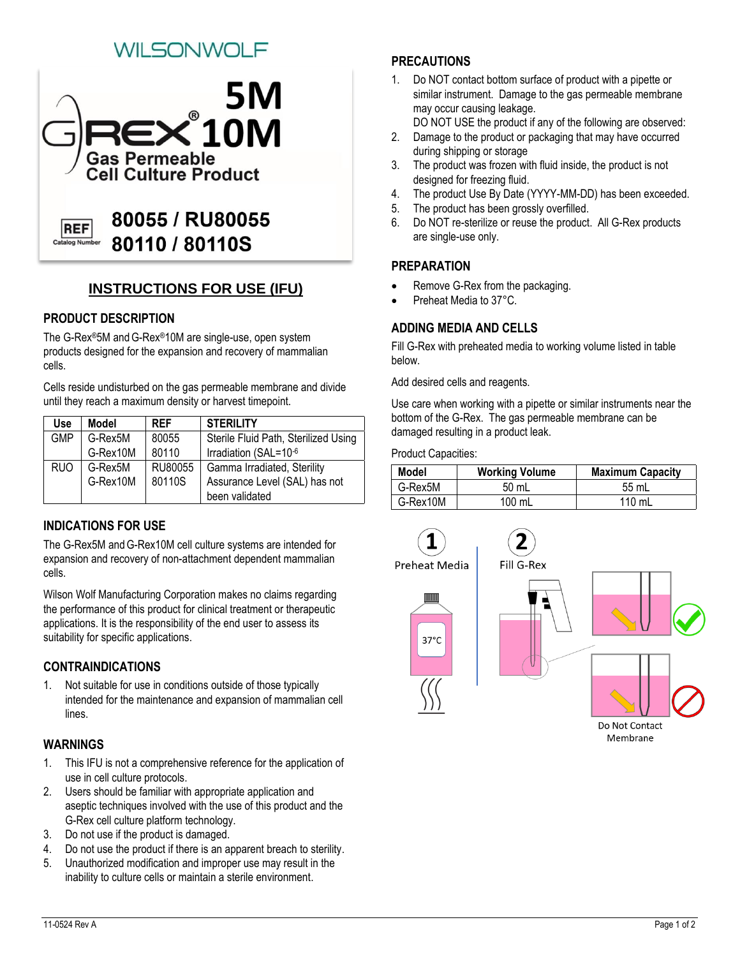# SONWOL F



## **INSTRUCTIONS FOR USE (IFU)**

### **PRODUCT DESCRIPTION**

The G-Rex®5M andG-Rex®10M are single-use, open system products designed for the expansion and recovery of mammalian cells.

Cells reside undisturbed on the gas permeable membrane and divide until they reach a maximum density or harvest timepoint.

| Use        | Model    | <b>RFF</b> | <b>STERILITY</b>                     |
|------------|----------|------------|--------------------------------------|
| <b>GMP</b> | G-Rex5M  | 80055      | Sterile Fluid Path, Sterilized Using |
|            | G-Rex10M | 80110      | Irradiation (SAL=10-6                |
| <b>RUO</b> | G-Rex5M  | RU80055    | Gamma Irradiated, Sterility          |
|            | G-Rex10M | 80110S     | Assurance Level (SAL) has not        |
|            |          |            | been validated                       |

### **INDICATIONS FOR USE**

The G-Rex5M andG-Rex10M cell culture systems are intended for expansion and recovery of non-attachment dependent mammalian cells.

Wilson Wolf Manufacturing Corporation makes no claims regarding the performance of this product for clinical treatment or therapeutic applications. It is the responsibility of the end user to assess its suitability for specific applications.

### **CONTRAINDICATIONS**

1. Not suitable for use in conditions outside of those typically intended for the maintenance and expansion of mammalian cell lines.

#### **WARNINGS**

- 1. This IFU is not a comprehensive reference for the application of use in cell culture protocols.
- 2. Users should be familiar with appropriate application and aseptic techniques involved with the use of this product and the G-Rex cell culture platform technology.
- 3. Do not use if the product is damaged.
- 4. Do not use the product if there is an apparent breach to sterility.
- 5. Unauthorized modification and improper use may result in the inability to culture cells or maintain a sterile environment.

## **PRECAUTIONS**

- 1. Do NOT contact bottom surface of product with a pipette or similar instrument. Damage to the gas permeable membrane may occur causing leakage.
- DO NOT USE the product if any of the following are observed: 2. Damage to the product or packaging that may have occurred
- during shipping or storage
- 3. The product was frozen with fluid inside, the product is not designed for freezing fluid.
- 4. The product Use By Date (YYYY-MM-DD) has been exceeded.
- 5. The product has been grossly overfilled.
- 6. Do NOT re-sterilize or reuse the product. All G-Rex products are single-use only.

#### **PREPARATION**

- Remove G-Rex from the packaging.
- Preheat Media to 37°C.

#### **ADDING MEDIA AND CELLS**

Fill G-Rex with preheated media to working volume listed in table below.

Add desired cells and reagents.

Use care when working with a pipette or similar instruments near the bottom of the G-Rex. The gas permeable membrane can be damaged resulting in a product leak.

Product Capacities:

| <b>Model</b> | <b>Working Volume</b> | <b>Maximum Capacity</b> |
|--------------|-----------------------|-------------------------|
| G-Rex5M      | 50 mL                 | 55 mL                   |
| G-Rex10M     | $100$ mL              | 110 mL                  |



Membrane